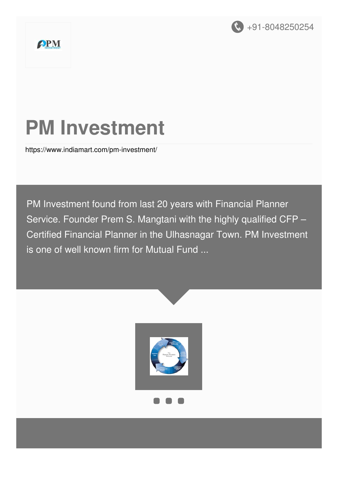

# **PM Investment**

<https://www.indiamart.com/pm-investment/>

PM Investment found from last 20 years with Financial Planner Service. Founder Prem S. Mangtani with the highly qualified CFP – Certified Financial Planner in the Ulhasnagar Town. PM Investment is one of well known firm for Mutual Fund ...

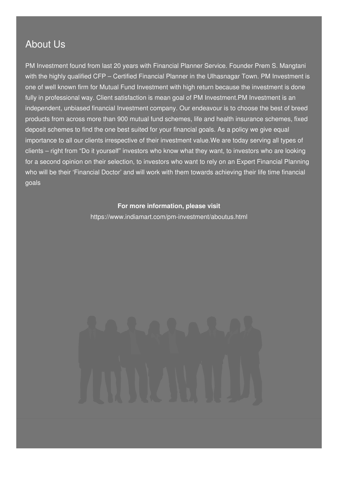### About Us

PM Investment found from last 20 years with Financial Planner Service. Founder Prem S. Mangtani with the highly qualified CFP – Certified Financial Planner in the Ulhasnagar Town. PM Investment is one of well known firm for Mutual Fund Investment with high return because the investment is done fully in professional way. Client satisfaction is mean goal of PM Investment.PM Investment is an independent, unbiased financial Investment company. Our endeavour is to choose the best of breed products from across more than 900 mutual fund schemes, life and health insurance schemes, fixed deposit schemes to find the one best suited for your financial goals. As a policy we give equal importance to all our clients irrespective of their investment value.We are today serving all types of clients – right from "Do it yourself" investors who know what they want, to investors who are looking for a second opinion on their selection, to investors who want to rely on an Expert Financial Planning who will be their 'Financial Doctor' and will work with them towards achieving their life time financial goals

#### **For more information, please visit**

<https://www.indiamart.com/pm-investment/aboutus.html>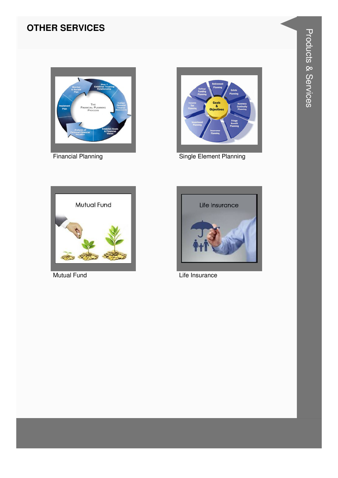#### **OTHER SERVICES**



**Financial Planning** 



Single Element Planning



**Mutual Fund** 



Life Insurance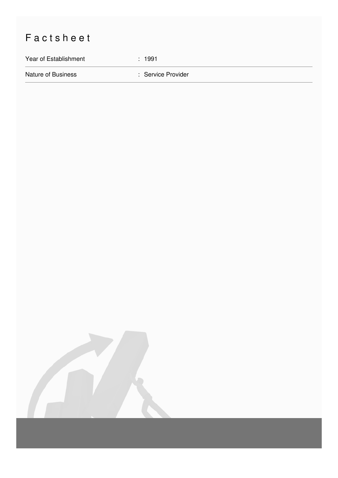## Factsheet

Year of Establishment : 1991

Nature of Business **in American Service Provider** : Service Provider